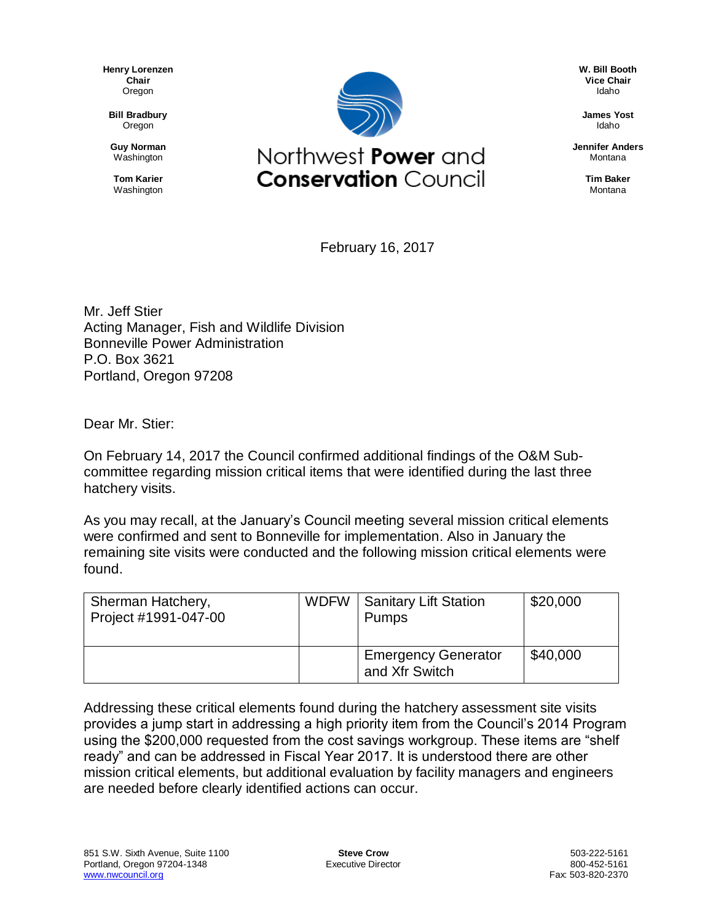**Henry Lorenzen Chair** Oregon

**Bill Bradbury** Oregon

**Guy Norman** Washington

**Tom Karier** Washington



**W. Bill Booth Vice Chair** Idaho

**James Yost** Idaho

**Jennifer Anders** Montana

> **Tim Baker** Montana

February 16, 2017

Mr. Jeff Stier Acting Manager, Fish and Wildlife Division Bonneville Power Administration P.O. Box 3621 Portland, Oregon 97208

Dear Mr. Stier:

On February 14, 2017 the Council confirmed additional findings of the O&M Subcommittee regarding mission critical items that were identified during the last three hatchery visits.

As you may recall, at the January's Council meeting several mission critical elements were confirmed and sent to Bonneville for implementation. Also in January the remaining site visits were conducted and the following mission critical elements were found.

| Sherman Hatchery,<br>Project #1991-047-00 | WDFW   Sanitary Lift Station<br><b>Pumps</b> | \$20,000 |
|-------------------------------------------|----------------------------------------------|----------|
|                                           | <b>Emergency Generator</b><br>and Xfr Switch | \$40,000 |

Addressing these critical elements found during the hatchery assessment site visits provides a jump start in addressing a high priority item from the Council's 2014 Program using the \$200,000 requested from the cost savings workgroup. These items are "shelf ready" and can be addressed in Fiscal Year 2017. It is understood there are other mission critical elements, but additional evaluation by facility managers and engineers are needed before clearly identified actions can occur.